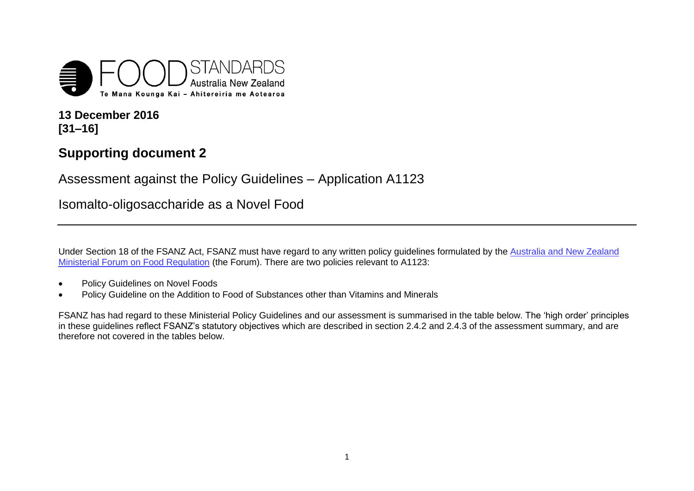

**13 December 2016 [31–16]**

## **Supporting document 2**

Assessment against the Policy Guidelines – Application A1123

Isomalto-oligosaccharide as a Novel Food

Under Section 18 of the FSANZ Act, FSANZ must have regard to any written policy guidelines formulated by th[e Australia and New Zealand](http://www.foodstandards.gov.au/code/fofr/Pages/default.aspx)  [Ministerial Forum on Food Regulation](http://www.foodstandards.gov.au/code/fofr/Pages/default.aspx) (the Forum). There are two policies relevant to A1123:

- Policy Guidelines on Novel Foods
- Policy Guideline on the Addition to Food of Substances other than Vitamins and Minerals

FSANZ has had regard to these Ministerial Policy Guidelines and our assessment is summarised in the table below. The 'high order' principles in these guidelines reflect FSANZ's statutory objectives which are described in section 2.4.2 and 2.4.3 of the assessment summary, and are therefore not covered in the tables below.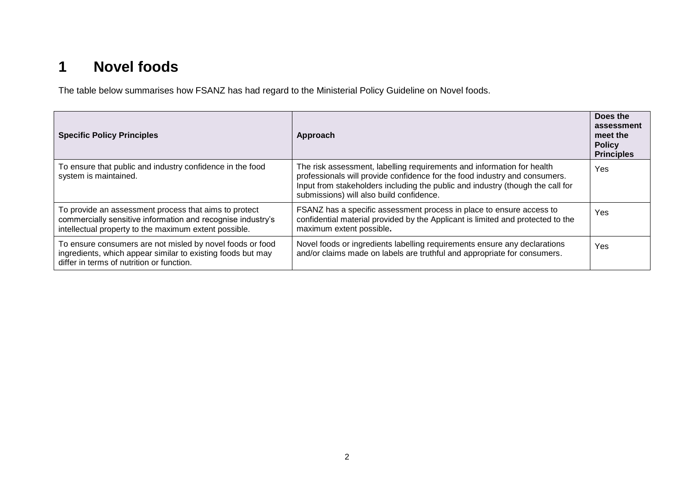## **1 Novel foods**

The table below summarises how FSANZ has had regard to the Ministerial Policy Guideline on Novel foods.

| <b>Specific Policy Principles</b>                                                                                                                                             | Approach                                                                                                                                                                                                                                                                           | Does the<br>assessment<br>meet the<br><b>Policy</b><br><b>Principles</b> |
|-------------------------------------------------------------------------------------------------------------------------------------------------------------------------------|------------------------------------------------------------------------------------------------------------------------------------------------------------------------------------------------------------------------------------------------------------------------------------|--------------------------------------------------------------------------|
| To ensure that public and industry confidence in the food<br>system is maintained.                                                                                            | The risk assessment, labelling requirements and information for health<br>professionals will provide confidence for the food industry and consumers.<br>Input from stakeholders including the public and industry (though the call for<br>submissions) will also build confidence. | Yes                                                                      |
| To provide an assessment process that aims to protect<br>commercially sensitive information and recognise industry's<br>intellectual property to the maximum extent possible. | FSANZ has a specific assessment process in place to ensure access to<br>confidential material provided by the Applicant is limited and protected to the<br>maximum extent possible.                                                                                                | Yes                                                                      |
| To ensure consumers are not misled by novel foods or food<br>ingredients, which appear similar to existing foods but may<br>differ in terms of nutrition or function.         | Novel foods or ingredients labelling requirements ensure any declarations<br>and/or claims made on labels are truthful and appropriate for consumers.                                                                                                                              | Yes                                                                      |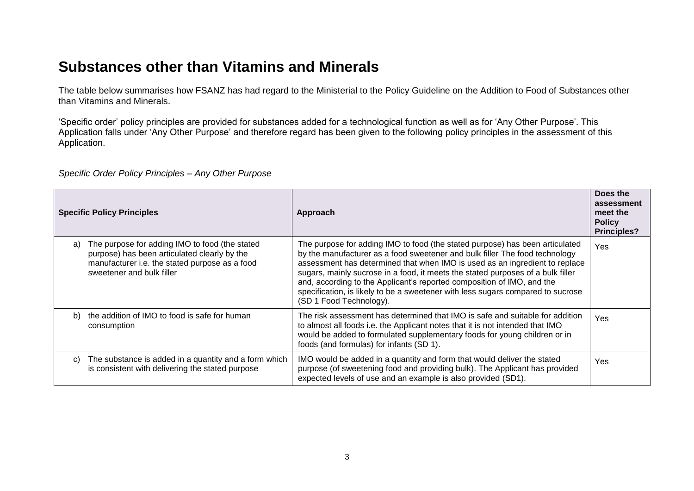## **Substances other than Vitamins and Minerals**

The table below summarises how FSANZ has had regard to the Ministerial to the Policy Guideline on the Addition to Food of Substances other than Vitamins and Minerals.

'Specific order' policy principles are provided for substances added for a technological function as well as for 'Any Other Purpose'. This Application falls under 'Any Other Purpose' and therefore regard has been given to the following policy principles in the assessment of this Application.

*Specific Order Policy Principles – Any Other Purpose* 

| <b>Specific Policy Principles</b>                                                                                                                                                   | Approach                                                                                                                                                                                                                                                                                                                                                                                                                                                                                                              | Does the<br>assessment<br>meet the<br><b>Policy</b><br><b>Principles?</b> |
|-------------------------------------------------------------------------------------------------------------------------------------------------------------------------------------|-----------------------------------------------------------------------------------------------------------------------------------------------------------------------------------------------------------------------------------------------------------------------------------------------------------------------------------------------------------------------------------------------------------------------------------------------------------------------------------------------------------------------|---------------------------------------------------------------------------|
| The purpose for adding IMO to food (the stated<br>a)<br>purpose) has been articulated clearly by the<br>manufacturer i.e. the stated purpose as a food<br>sweetener and bulk filler | The purpose for adding IMO to food (the stated purpose) has been articulated<br>by the manufacturer as a food sweetener and bulk filler The food technology<br>assessment has determined that when IMO is used as an ingredient to replace<br>sugars, mainly sucrose in a food, it meets the stated purposes of a bulk filler<br>and, according to the Applicant's reported composition of IMO, and the<br>specification, is likely to be a sweetener with less sugars compared to sucrose<br>(SD 1 Food Technology). | Yes                                                                       |
| the addition of IMO to food is safe for human<br>b)<br>consumption                                                                                                                  | The risk assessment has determined that IMO is safe and suitable for addition<br>to almost all foods i.e. the Applicant notes that it is not intended that IMO<br>would be added to formulated supplementary foods for young children or in<br>foods (and formulas) for infants (SD 1).                                                                                                                                                                                                                               | Yes                                                                       |
| The substance is added in a quantity and a form which<br>C)<br>is consistent with delivering the stated purpose                                                                     | IMO would be added in a quantity and form that would deliver the stated<br>purpose (of sweetening food and providing bulk). The Applicant has provided<br>expected levels of use and an example is also provided (SD1).                                                                                                                                                                                                                                                                                               | Yes                                                                       |